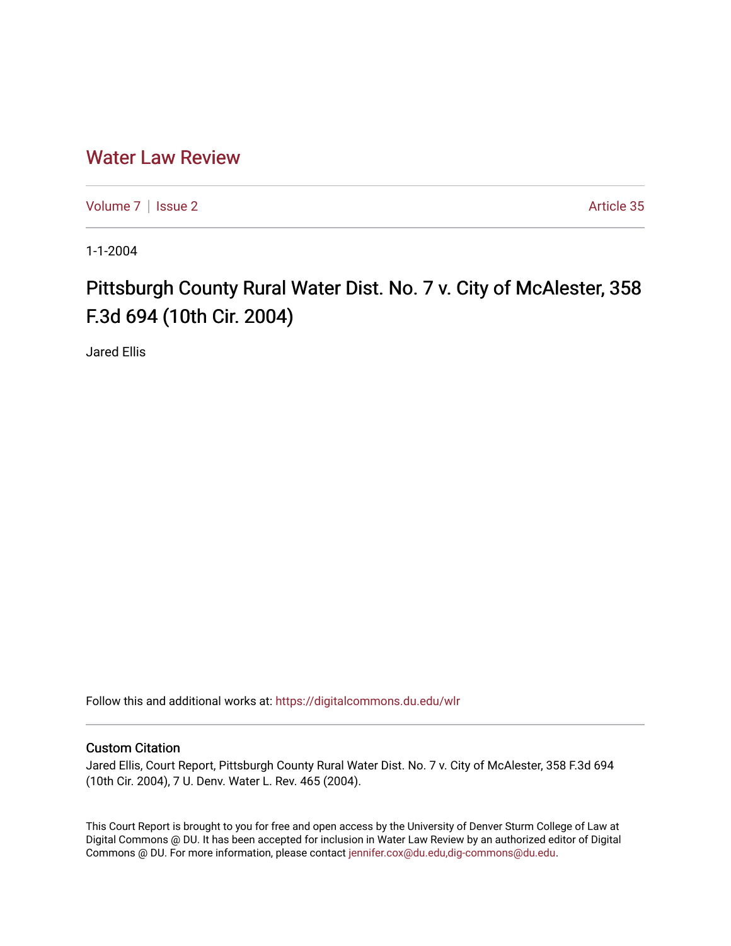## [Water Law Review](https://digitalcommons.du.edu/wlr)

[Volume 7](https://digitalcommons.du.edu/wlr/vol7) | [Issue 2](https://digitalcommons.du.edu/wlr/vol7/iss2) Article 35

1-1-2004

## Pittsburgh County Rural Water Dist. No. 7 v. City of McAlester, 358 F.3d 694 (10th Cir. 2004)

Jared Ellis

Follow this and additional works at: [https://digitalcommons.du.edu/wlr](https://digitalcommons.du.edu/wlr?utm_source=digitalcommons.du.edu%2Fwlr%2Fvol7%2Fiss2%2F35&utm_medium=PDF&utm_campaign=PDFCoverPages) 

## Custom Citation

Jared Ellis, Court Report, Pittsburgh County Rural Water Dist. No. 7 v. City of McAlester, 358 F.3d 694 (10th Cir. 2004), 7 U. Denv. Water L. Rev. 465 (2004).

This Court Report is brought to you for free and open access by the University of Denver Sturm College of Law at Digital Commons @ DU. It has been accepted for inclusion in Water Law Review by an authorized editor of Digital Commons @ DU. For more information, please contact [jennifer.cox@du.edu,dig-commons@du.edu.](mailto:jennifer.cox@du.edu,dig-commons@du.edu)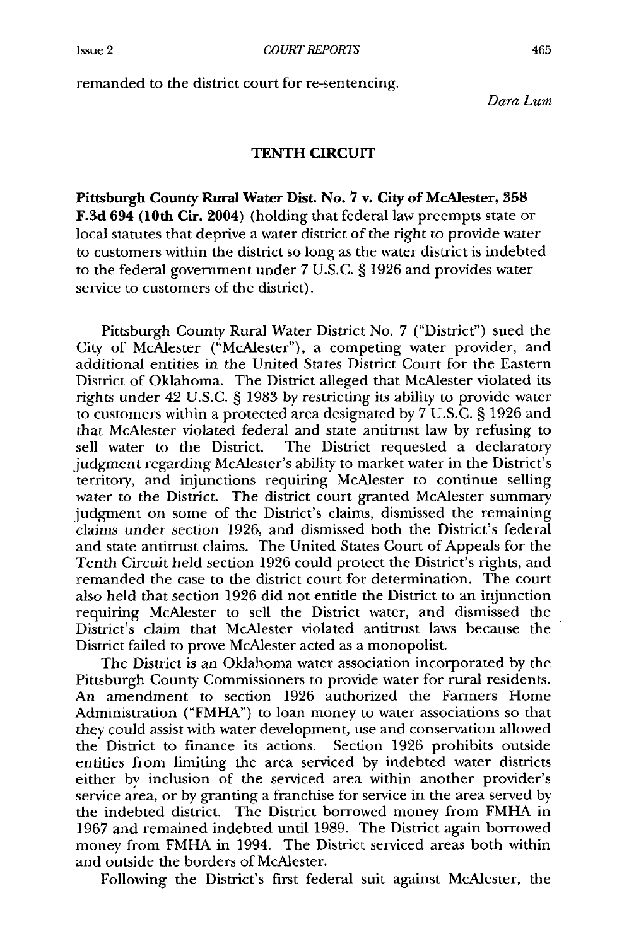remanded to the district court for re-sentencing.

*Dara Lum*

## TENTH CIRCUIT

Pittsburgh County Rural Water Dist. No. 7 v. City of McAlester, *358* F.3d 694 (10th Cir. 2004) (holding that federal law preempts state or local statutes that deprive a water district of the right to provide water to customers within the district so long as the water district is indebted to the federal government under 7 U.S.C. § 1926 and provides water service to customers of the district).

Pittsburgh County Rural Water District No. 7 ("District") sued the City of McAlester ("McAlester"), a competing water provider, and additional entities in the United States District Court for the Eastern District of Oklahoma. The District alleged that McAlester violated its rights under 42 U.S.C. § 1983 by restricting its ability to provide water to customers within a protected area designated by 7 U.S.C. § 1926 and that McAlester violated federal and state antitrust law by refusing to sell water to the District. The District requested a declaratory judgment regarding McAlester's ability to market water in the District's territory, and injunctions requiring McAlester to continue selling water to the District. The district court granted McAlester summary judgment on some of the District's claims, dismissed the remaining claims under section 1926, and dismissed both the District's federal and state antitrust claims. The United States Court of Appeals for the Tenth Circuit held section 1926 could protect the District's rights, and remanded the case to the district court for determination. The court also held that section 1926 did not entitle the District to an injunction requiring McAlester to sell the District water, and dismissed the District's claim that McAlester violated antitrust laws because the District failed to prove McAlester acted as a monopolist.

The District is an Oklahoma water association incorporated by the Pittsburgh County Commissioners to provide water for rural residents. An amendment to section 1926 authorized the Farmers Home Administration ("FMHA") to loan money to water associations so that they could assist with water development, use and conservation allowed the District to finance its actions. Section 1926 prohibits outside entities from limiting the area serviced by indebted water districts either by inclusion of the serviced area within another provider's service area, or by granting a franchise for service in the area served by the indebted district. The District borrowed money from FMHA in 1967 and remained indebted until 1989. The District again borrowed money from FMHA in 1994. The District serviced areas both within and outside the borders of McAlester.

Following the District's first federal suit against McAlester, the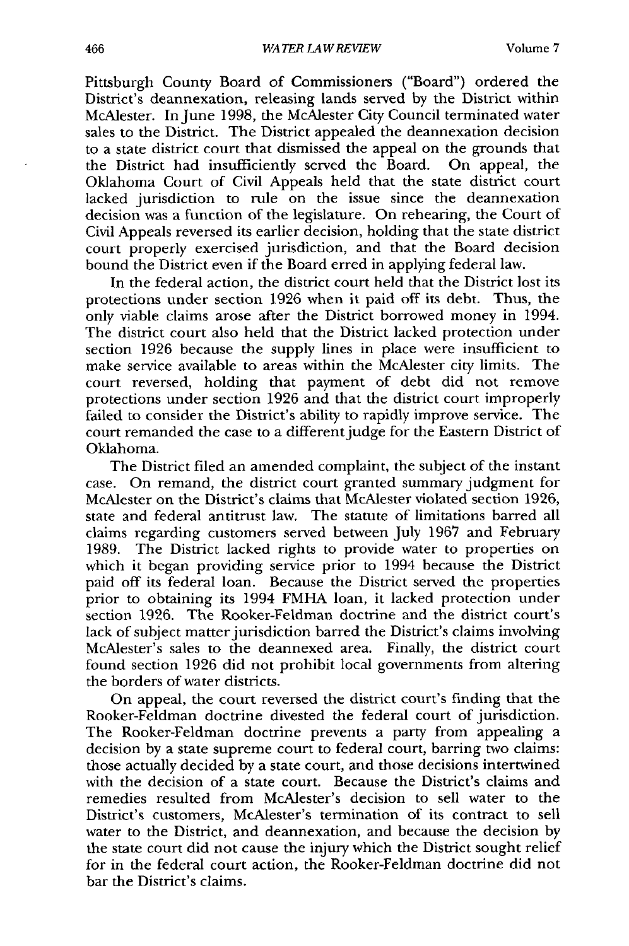Pittsburgh County Board of Commissioners ("Board") ordered the District's deannexation, releasing lands served by the District within McAlester. In June 1998, the McAlester City Council terminated water sales to the District. The District appealed the deannexation decision to a state district court that dismissed the appeal on the grounds that the District had insufficiently served the Board. On appeal, the Oklahoma Court of Civil Appeals held that the state district court lacked jurisdiction to rule on the issue since the deannexation decision was a function of the legislature. On rehearing, the Court of Civil Appeals reversed its earlier decision, holding that the state district court properly exercised jurisdiction, and that the Board decision bound the District even if the Board erred in applying federal law.

In the federal action, the district court held that the District lost its protections under section 1926 when it paid off its debt. Thus, the only viable claims arose after the District borrowed money in 1994. The district court also held that the District lacked protection under section 1926 because the supply lines in place were insufficient to make service available to areas within the McAlester city limits. The court reversed, holding that payment of debt did not remove protections under section 1926 and that the district court improperly failed to consider the District's ability to rapidly improve service. The court remanded the case to a different judge for the Eastern District of Oklahoma.

The District filed an amended complaint, the subject of the instant case. On remand, the district court granted summary judgment for McAlester on the District's claims that McAlester violated section 1926, state and federal antitrust law. The statute of limitations barred all claims regarding customers served between July 1967 and February 1989. The District lacked rights to provide water to properties on which it began providing service prior to 1994 because the District paid off its federal loan. Because the District served the properties prior to obtaining its 1994 FMHA loan, it lacked protection under section 1926. The Rooker-Feldman doctrine and the district court's lack of subject matter jurisdiction barred the District's claims involving McAlester's sales to the deannexed area. Finally, the district court found section 1926 did not prohibit local governments from altering the borders of water districts.

On appeal, the court reversed the district court's finding that the Rooker-Feldman doctrine divested the federal court of jurisdiction. The Rooker-Feldman doctrine prevents a party from appealing a decision by a state supreme court to federal court, barring two claims: those actually decided by a state court, and those decisions intertwined with the decision of a state court. Because the District's claims and remedies resulted from McAlester's decision to sell water to the District's customers, McAlester's termination of its contract to sell water to the District, and deannexation, and because the decision by the state court did not cause the injury which the District sought relief for in the federal court action, the Rooker-Feldman doctrine did not bar the District's claims.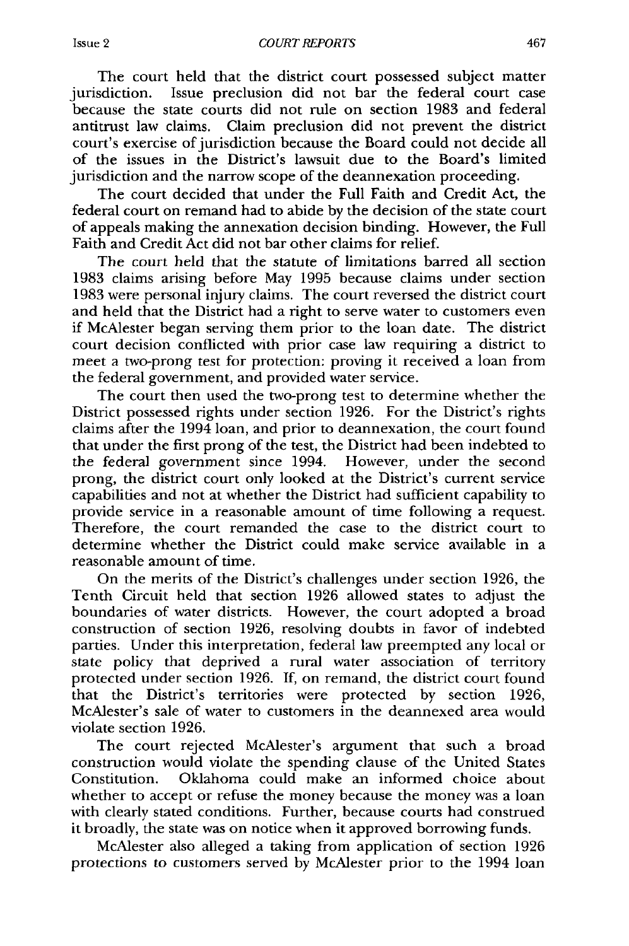The court held that the district court possessed subject matter jurisdiction. Issue preclusion did not bar the federal court case because the state courts did not rule on section 1983 and federal antitrust law claims. Claim preclusion did not prevent the district court's exercise of jurisdiction because the Board could not decide all of the issues in the District's lawsuit due to the Board's limited jurisdiction and the narrow scope of the deannexation proceeding.

The court decided that under the Full Faith and Credit Act, the federal court on remand had to abide by the decision of the state court of appeals making the annexation decision binding. However, the Full Faith and Credit Act did not bar other claims for relief.

The court held that the statute of limitations barred all section 1983 claims arising before May 1995 because claims under section 1983 were personal injury claims. The court reversed the district court and held that the District had a right to serve water to customers even if McAlester began serving them prior to the loan date. The district court decision conflicted with prior case law requiring a district to meet a two-prong test for protection: proving it received a loan from the federal government, and provided water service.

The court then used the two-prong test to determine whether the District possessed rights under section 1926. For the District's rights claims after the 1994 loan, and prior to deannexation, the court found that under the first prong of the test, the District had been indebted to the federal government since 1994. However, under the second prong, the district court only looked at the District's current service capabilities and not at whether the District had sufficient capability to provide service in a reasonable amount of time following a request. Therefore, the court remanded the case to the district court to determine whether the District could make service available in a reasonable amount of time.

On the merits of the District's challenges under section 1926, the Tenth Circuit held that section 1926 allowed states to adjust the boundaries of water districts. However, the court adopted a broad construction of section 1926, resolving doubts in favor of indebted parties. Under this interpretation, federal law preempted any local or state policy that deprived a rural water association of territory protected under section 1926. If, on remand, the district court found that the District's territories were protected by section 1926, McAlester's sale of water to customers in the deannexed area would violate section 1926.

The court rejected McAlester's argument that such a broad construction would violate the spending clause of the United States Constitution. Oklahoma could make an informed choice about whether to accept or refuse the money because the money was a loan with clearly stated conditions. Further, because courts had construed it broadly, the state was on notice when it approved borrowing funds.

McAlester also alleged a taking from application of section 1926 protections to customers served by McAlester prior to the 1994 loan